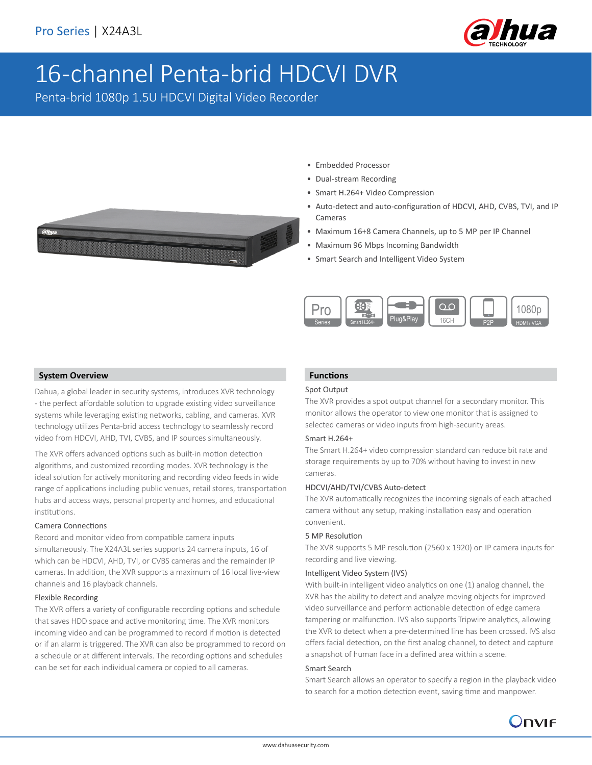

# 16-channel Penta-brid HDCVI DVR

Penta-brid 1080p 1.5U HDCVI Digital Video Recorder

- Embedded Processor
	- Dual-stream Recording
	- Smart H.264+ Video Compression
	- Auto-detect and auto-configuration of HDCVI, AHD, CVBS, TVI, and IP Cameras
	- Maximum 16+8 Camera Channels, up to 5 MP per IP Channel
	- Maximum 96 Mbps Incoming Bandwidth
	- Smart Search and Intelligent Video System



#### **System Overview**

Dahua, a global leader in security systems, introduces XVR technology - the perfect affordable solution to upgrade existing video surveillance systems while leveraging existing networks, cabling, and cameras. XVR technology utilizes Penta-brid access technology to seamlessly record video from HDCVI, AHD, TVI, CVBS, and IP sources simultaneously.

The XVR offers advanced options such as built-in motion detection algorithms, and customized recording modes. XVR technology is the ideal solution for actively monitoring and recording video feeds in wide range of applications including public venues, retail stores, transportation hubs and access ways, personal property and homes, and educational institutions.

## Camera Connections

Record and monitor video from compatible camera inputs simultaneously. The X24A3L series supports 24 camera inputs, 16 of which can be HDCVI, AHD, TVI, or CVBS cameras and the remainder IP cameras. In addition, the XVR supports a maximum of 16 local live-view channels and 16 playback channels.

#### Flexible Recording

The XVR offers a variety of configurable recording options and schedule that saves HDD space and active monitoring time. The XVR monitors incoming video and can be programmed to record if motion is detected or if an alarm is triggered. The XVR can also be programmed to record on a schedule or at different intervals. The recording options and schedules can be set for each individual camera or copied to all cameras.

# **Functions**

#### Spot Output

The XVR provides a spot output channel for a secondary monitor. This monitor allows the operator to view one monitor that is assigned to selected cameras or video inputs from high-security areas.

#### Smart H.264+

The Smart H.264+ video compression standard can reduce bit rate and storage requirements by up to 70% without having to invest in new cameras.

#### HDCVI/AHD/TVI/CVBS Auto-detect

The XVR automatically recognizes the incoming signals of each attached camera without any setup, making installation easy and operation convenient.

#### 5 MP Resolution

The XVR supports 5 MP resolution (2560 x 1920) on IP camera inputs for recording and live viewing.

## Intelligent Video System (IVS)

With built-in intelligent video analytics on one (1) analog channel, the XVR has the ability to detect and analyze moving objects for improved video surveillance and perform actionable detection of edge camera tampering or malfunction. IVS also supports Tripwire analytics, allowing the XVR to detect when a pre-determined line has been crossed. IVS also offers facial detection, on the first analog channel, to detect and capture a snapshot of human face in a defined area within a scene.

#### Smart Search

Smart Search allows an operator to specify a region in the playback video to search for a motion detection event, saving time and manpower.

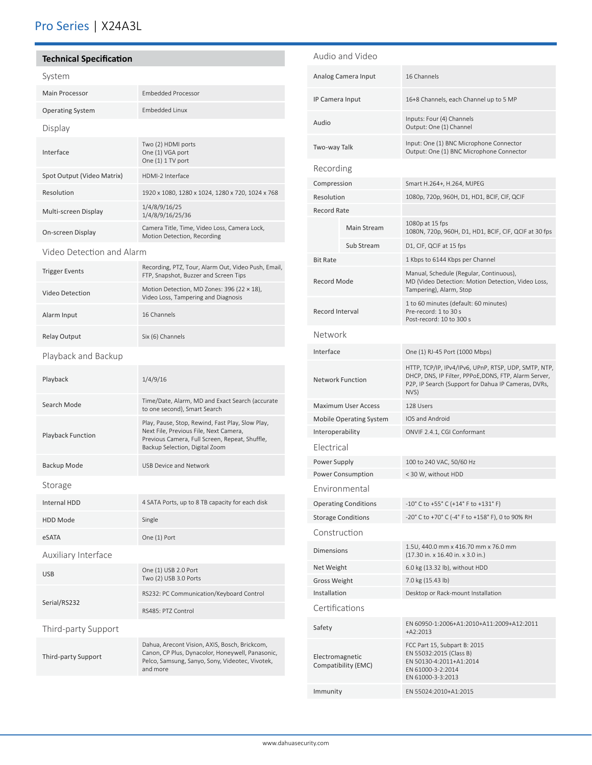# Pro Series | X24A3L

# **Technical Specification**

| System                     |                                                                                                                                                                                |  |  |  |
|----------------------------|--------------------------------------------------------------------------------------------------------------------------------------------------------------------------------|--|--|--|
| Main Processor             | <b>Embedded Processor</b>                                                                                                                                                      |  |  |  |
| <b>Operating System</b>    | <b>Embedded Linux</b>                                                                                                                                                          |  |  |  |
| Display                    |                                                                                                                                                                                |  |  |  |
| Interface                  | Two (2) HDMI ports<br>One (1) VGA port<br>One (1) 1 TV port                                                                                                                    |  |  |  |
| Spot Output (Video Matrix) | HDMI-2 Interface                                                                                                                                                               |  |  |  |
| Resolution                 | 1920 x 1080, 1280 x 1024, 1280 x 720, 1024 x 768                                                                                                                               |  |  |  |
| Multi-screen Display       | 1/4/8/9/16/25<br>1/4/8/9/16/25/36                                                                                                                                              |  |  |  |
| On-screen Display          | Camera Title, Time, Video Loss, Camera Lock,<br>Motion Detection, Recording                                                                                                    |  |  |  |
| Video Detection and Alarm  |                                                                                                                                                                                |  |  |  |
| <b>Trigger Events</b>      | Recording, PTZ, Tour, Alarm Out, Video Push, Email,<br>FTP, Snapshot, Buzzer and Screen Tips                                                                                   |  |  |  |
| <b>Video Detection</b>     | Motion Detection, MD Zones: 396 (22 × 18),<br>Video Loss, Tampering and Diagnosis                                                                                              |  |  |  |
| Alarm Input                | 16 Channels                                                                                                                                                                    |  |  |  |
| <b>Relay Output</b>        | Six (6) Channels                                                                                                                                                               |  |  |  |
| Playback and Backup        |                                                                                                                                                                                |  |  |  |
| Playback                   | 1/4/9/16                                                                                                                                                                       |  |  |  |
| Search Mode                | Time/Date, Alarm, MD and Exact Search (accurate<br>to one second), Smart Search                                                                                                |  |  |  |
| <b>Playback Function</b>   | Play, Pause, Stop, Rewind, Fast Play, Slow Play,<br>Next File, Previous File, Next Camera,<br>Previous Camera, Full Screen, Repeat, Shuffle,<br>Backup Selection, Digital Zoom |  |  |  |
| Backup Mode                | <b>USB Device and Network</b>                                                                                                                                                  |  |  |  |
| Storage                    |                                                                                                                                                                                |  |  |  |
| Internal HDD               | 4 SATA Ports, up to 8 TB capacity for each disk                                                                                                                                |  |  |  |
| <b>HDD Mode</b>            | Single                                                                                                                                                                         |  |  |  |
| eSATA                      | One (1) Port                                                                                                                                                                   |  |  |  |
| Auxiliary Interface        |                                                                                                                                                                                |  |  |  |
| <b>USB</b>                 | One (1) USB 2.0 Port<br>Two (2) USB 3.0 Ports                                                                                                                                  |  |  |  |
| Serial/RS232               | RS232: PC Communication/Keyboard Control                                                                                                                                       |  |  |  |
|                            | RS485: PTZ Control                                                                                                                                                             |  |  |  |
| Third-party Support        |                                                                                                                                                                                |  |  |  |
| Third-party Support        | Dahua, Arecont Vision, AXIS, Bosch, Brickcom,<br>Canon, CP Plus, Dynacolor, Honeywell, Panasonic,<br>Pelco, Samsung, Sanyo, Sony, Videotec, Vivotek,<br>and more               |  |  |  |

|                                        | Audio and Video           |                                                                                                                                                                             |  |  |
|----------------------------------------|---------------------------|-----------------------------------------------------------------------------------------------------------------------------------------------------------------------------|--|--|
| Analog Camera Input                    |                           | 16 Channels                                                                                                                                                                 |  |  |
| IP Camera Input                        |                           | 16+8 Channels, each Channel up to 5 MP                                                                                                                                      |  |  |
| Audio                                  |                           | Inputs: Four (4) Channels<br>Output: One (1) Channel                                                                                                                        |  |  |
| Two-way Talk                           |                           | Input: One (1) BNC Microphone Connector<br>Output: One (1) BNC Microphone Connector                                                                                         |  |  |
| Recording                              |                           |                                                                                                                                                                             |  |  |
| Compression                            |                           | Smart H.264+, H.264, MJPEG                                                                                                                                                  |  |  |
| Resolution                             |                           | 1080p, 720p, 960H, D1, HD1, BCIF, CIF, QCIF                                                                                                                                 |  |  |
| <b>Record Rate</b>                     |                           |                                                                                                                                                                             |  |  |
|                                        | Main Stream               | 1080p at 15 fps<br>1080N, 720p, 960H, D1, HD1, BCIF, CIF, QCIF at 30 fps                                                                                                    |  |  |
|                                        | Sub Stream                | D1, CIF, QCIF at 15 fps                                                                                                                                                     |  |  |
| <b>Bit Rate</b>                        |                           | 1 Kbps to 6144 Kbps per Channel                                                                                                                                             |  |  |
| Record Mode                            |                           | Manual, Schedule (Regular, Continuous),<br>MD (Video Detection: Motion Detection, Video Loss,<br>Tampering), Alarm, Stop                                                    |  |  |
| Record Interval                        |                           | 1 to 60 minutes (default: 60 minutes)<br>Pre-record: 1 to 30 s<br>Post-record: 10 to 300 s                                                                                  |  |  |
| Network                                |                           |                                                                                                                                                                             |  |  |
| Interface                              |                           | One (1) RJ-45 Port (1000 Mbps)                                                                                                                                              |  |  |
| <b>Network Function</b>                |                           | HTTP, TCP/IP, IPv4/IPv6, UPnP, RTSP, UDP, SMTP, NTP,<br>DHCP, DNS, IP Filter, PPPoE,DDNS, FTP, Alarm Server,<br>P2P, IP Search (Support for Dahua IP Cameras, DVRs,<br>NVS) |  |  |
| <b>Maximum User Access</b>             |                           | 128 Users                                                                                                                                                                   |  |  |
| <b>Mobile Operating System</b>         |                           | IOS and Android                                                                                                                                                             |  |  |
| Interoperability                       |                           | ONVIF 2.4.1, CGI Conformant                                                                                                                                                 |  |  |
| Electrical                             |                           |                                                                                                                                                                             |  |  |
| Power Supply                           |                           | 100 to 240 VAC, 50/60 Hz                                                                                                                                                    |  |  |
|                                        | <b>Power Consumption</b>  | < 30 W, without HDD                                                                                                                                                         |  |  |
|                                        | Environmental             |                                                                                                                                                                             |  |  |
| <b>Operating Conditions</b>            |                           | $-10^{\circ}$ C to $+55^{\circ}$ C ( $+14^{\circ}$ F to $+131^{\circ}$ F)                                                                                                   |  |  |
|                                        | <b>Storage Conditions</b> | -20° C to +70° C (-4° F to +158° F), 0 to 90% RH                                                                                                                            |  |  |
| Construction                           |                           |                                                                                                                                                                             |  |  |
| <b>Dimensions</b>                      |                           | 1.5U, 440.0 mm x 416.70 mm x 76.0 mm<br>(17.30 in. x 16.40 in. x 3.0 in.)                                                                                                   |  |  |
| Net Weight                             |                           | 6.0 kg (13.32 lb), without HDD                                                                                                                                              |  |  |
| Gross Weight                           |                           | 7.0 kg (15.43 lb)                                                                                                                                                           |  |  |
| Installation                           |                           | Desktop or Rack-mount Installation                                                                                                                                          |  |  |
| Certifications                         |                           |                                                                                                                                                                             |  |  |
| Safety                                 |                           | EN 60950-1:2006+A1:2010+A11:2009+A12:2011<br>$+A2:2013$                                                                                                                     |  |  |
| Electromagnetic<br>Compatibility (EMC) |                           | FCC Part 15, Subpart B: 2015<br>EN 55032:2015 (Class B)<br>EN 50130-4:2011+A1:2014<br>EN 61000-3-2:2014<br>EN 61000-3-3:2013                                                |  |  |
| Immunity                               |                           | EN 55024:2010+A1:2015                                                                                                                                                       |  |  |